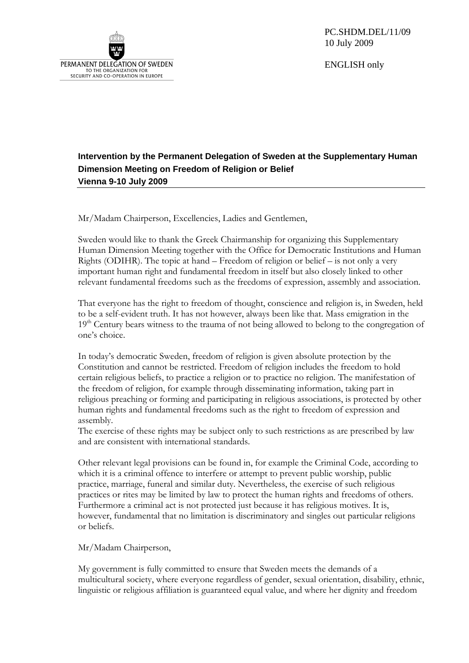

PC.SHDM.DEL/11/09 10 July 2009

ENGLISH only

## **Intervention by the Permanent Delegation of Sweden at the Supplementary Human Dimension Meeting on Freedom of Religion or Belief Vienna 9-10 July 2009**

Mr/Madam Chairperson, Excellencies, Ladies and Gentlemen,

Sweden would like to thank the Greek Chairmanship for organizing this Supplementary Human Dimension Meeting together with the Office for Democratic Institutions and Human Rights (ODIHR). The topic at hand – Freedom of religion or belief – is not only a very important human right and fundamental freedom in itself but also closely linked to other relevant fundamental freedoms such as the freedoms of expression, assembly and association.

That everyone has the right to freedom of thought, conscience and religion is, in Sweden, held to be a self-evident truth. It has not however, always been like that. Mass emigration in the  $19<sup>th</sup>$  Century bears witness to the trauma of not being allowed to belong to the congregation of one's choice.

In today's democratic Sweden, freedom of religion is given absolute protection by the Constitution and cannot be restricted. Freedom of religion includes the freedom to hold certain religious beliefs, to practice a religion or to practice no religion. The manifestation of the freedom of religion, for example through disseminating information, taking part in religious preaching or forming and participating in religious associations, is protected by other human rights and fundamental freedoms such as the right to freedom of expression and assembly.

The exercise of these rights may be subject only to such restrictions as are prescribed by law and are consistent with international standards.

Other relevant legal provisions can be found in, for example the Criminal Code, according to which it is a criminal offence to interfere or attempt to prevent public worship, public practice, marriage, funeral and similar duty. Nevertheless, the exercise of such religious practices or rites may be limited by law to protect the human rights and freedoms of others. Furthermore a criminal act is not protected just because it has religious motives. It is, however, fundamental that no limitation is discriminatory and singles out particular religions or beliefs.

Mr/Madam Chairperson,

My government is fully committed to ensure that Sweden meets the demands of a multicultural society, where everyone regardless of gender, sexual orientation, disability, ethnic, linguistic or religious affiliation is guaranteed equal value, and where her dignity and freedom